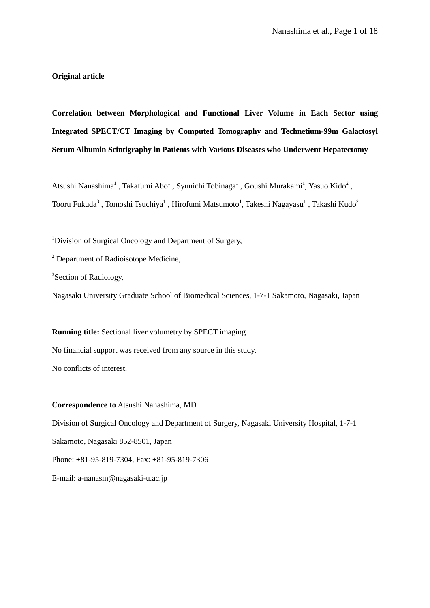# **Original article**

**Correlation between Morphological and Functional Liver Volume in Each Sector using Integrated SPECT/CT Imaging by Computed Tomography and Technetium-99m Galactosyl Serum Albumin Scintigraphy in Patients with Various Diseases who Underwent Hepatectomy**

Atsushi Nanashima<sup>1</sup>, Takafumi Abo<sup>1</sup>, Syuuichi Tobinaga<sup>1</sup>, Goushi Murakami<sup>1</sup>, Yasuo Kido<sup>2</sup>, Tooru Fukuda $^3$  , Tomoshi Tsuchiya $^1$  , Hirofumi Matsumoto $^1$ , Takeshi Nagayasu $^1$  , Takashi Kudo $^2$ 

<sup>1</sup>Division of Surgical Oncology and Department of Surgery,

<sup>2</sup> Department of Radioisotope Medicine,

<sup>3</sup>Section of Radiology,

Nagasaki University Graduate School of Biomedical Sciences, 1-7-1 Sakamoto, Nagasaki, Japan

**Running title:** Sectional liver volumetry by SPECT imaging No financial support was received from any source in this study. No conflicts of interest.

**Correspondence to** Atsushi Nanashima, MD Division of Surgical Oncology and Department of Surgery, Nagasaki University Hospital, 1-7-1 Sakamoto, Nagasaki 852-8501, Japan Phone: +81-95-819-7304, Fax: +81-95-819-7306

E-mail: a-nanasm@nagasaki-u.ac.jp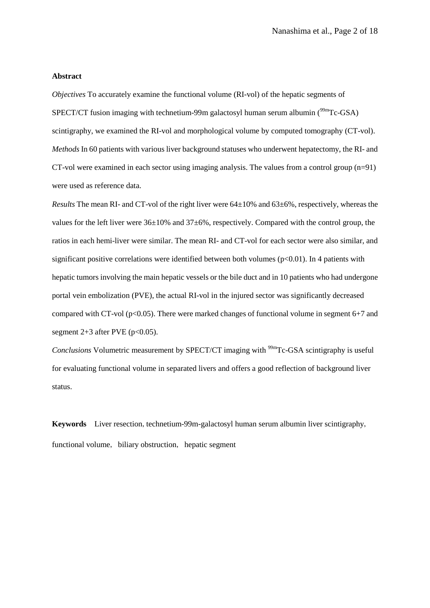#### **Abstract**

*Objectives* To accurately examine the functional volume (RI-vol) of the hepatic segments of SPECT/CT fusion imaging with technetium-99m galactosyl human serum albumin  $(^{99m}Tc\text{-}GSA)$ scintigraphy, we examined the RI-vol and morphological volume by computed tomography (CT-vol). *Methods* In 60 patients with various liver background statuses who underwent hepatectomy, the RI- and CT-vol were examined in each sector using imaging analysis. The values from a control group  $(n=91)$ were used as reference data.

*Results* The mean RI- and CT-vol of the right liver were 64±10% and 63±6%, respectively, whereas the values for the left liver were 36±10% and 37±6%, respectively. Compared with the control group, the ratios in each hemi-liver were similar. The mean RI- and CT-vol for each sector were also similar, and significant positive correlations were identified between both volumes ( $p<0.01$ ). In 4 patients with hepatic tumors involving the main hepatic vessels or the bile duct and in 10 patients who had undergone portal vein embolization (PVE), the actual RI-vol in the injured sector was significantly decreased compared with CT-vol ( $p<0.05$ ). There were marked changes of functional volume in segment 6+7 and segment  $2+3$  after PVE ( $p<0.05$ ).

*Conclusions* Volumetric measurement by SPECT/CT imaging with <sup>99m</sup>Tc-GSA scintigraphy is useful for evaluating functional volume in separated livers and offers a good reflection of background liver status.

**Keywords** Liver resection, technetium-99m-galactosyl human serum albumin liver scintigraphy, functional volume, biliary obstruction, hepatic segment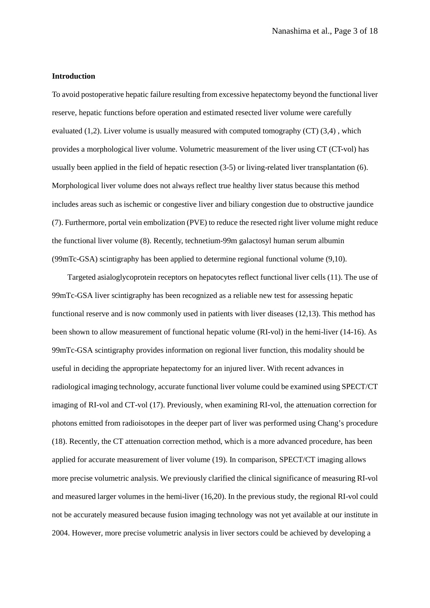#### **Introduction**

To avoid postoperative hepatic failure resulting from excessive hepatectomy beyond the functional liver reserve, hepatic functions before operation and estimated resected liver volume were carefully evaluated (1,2). Liver volume is usually measured with computed tomography (CT) (3,4) , which provides a morphological liver volume. Volumetric measurement of the liver using CT (CT-vol) has usually been applied in the field of hepatic resection (3-5) or living-related liver transplantation (6). Morphological liver volume does not always reflect true healthy liver status because this method includes areas such as ischemic or congestive liver and biliary congestion due to obstructive jaundice (7). Furthermore, portal vein embolization (PVE) to reduce the resected right liver volume might reduce the functional liver volume (8). Recently, technetium-99m galactosyl human serum albumin (99mTc-GSA) scintigraphy has been applied to determine regional functional volume (9,10).

Targeted asialoglycoprotein receptors on hepatocytes reflect functional liver cells (11). The use of 99mTc-GSA liver scintigraphy has been recognized as a reliable new test for assessing hepatic functional reserve and is now commonly used in patients with liver diseases (12,13). This method has been shown to allow measurement of functional hepatic volume (RI-vol) in the hemi-liver (14-16). As 99mTc-GSA scintigraphy provides information on regional liver function, this modality should be useful in deciding the appropriate hepatectomy for an injured liver. With recent advances in radiological imaging technology, accurate functional liver volume could be examined using SPECT/CT imaging of RI-vol and CT-vol (17). Previously, when examining RI-vol, the attenuation correction for photons emitted from radioisotopes in the deeper part of liver was performed using Chang's procedure (18). Recently, the CT attenuation correction method, which is a more advanced procedure, has been applied for accurate measurement of liver volume (19). In comparison, SPECT/CT imaging allows more precise volumetric analysis. We previously clarified the clinical significance of measuring RI-vol and measured larger volumes in the hemi-liver (16,20). In the previous study, the regional RI-vol could not be accurately measured because fusion imaging technology was not yet available at our institute in 2004. However, more precise volumetric analysis in liver sectors could be achieved by developing a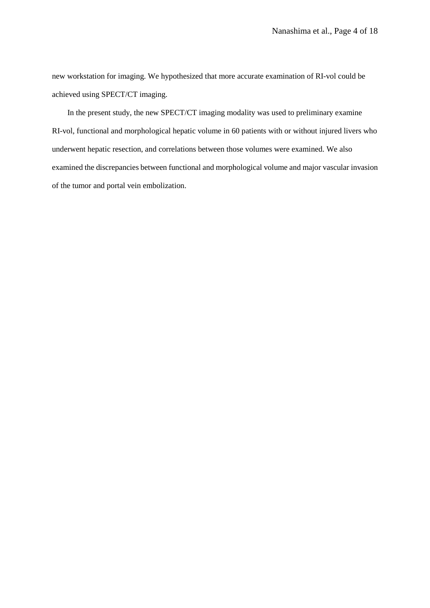new workstation for imaging. We hypothesized that more accurate examination of RI-vol could be achieved using SPECT/CT imaging.

In the present study, the new SPECT/CT imaging modality was used to preliminary examine RI-vol, functional and morphological hepatic volume in 60 patients with or without injured livers who underwent hepatic resection, and correlations between those volumes were examined. We also examined the discrepancies between functional and morphological volume and major vascular invasion of the tumor and portal vein embolization.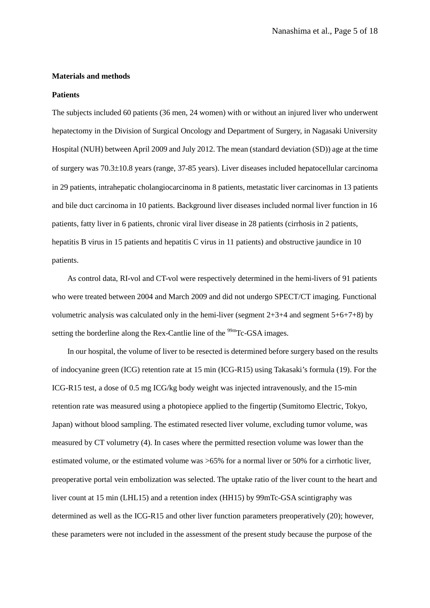#### **Materials and methods**

#### **Patients**

The subjects included 60 patients (36 men, 24 women) with or without an injured liver who underwent hepatectomy in the Division of Surgical Oncology and Department of Surgery, in Nagasaki University Hospital (NUH) between April 2009 and July 2012. The mean (standard deviation (SD)) age at the time of surgery was 70.3±10.8 years (range, 37-85 years). Liver diseases included hepatocellular carcinoma in 29 patients, intrahepatic cholangiocarcinoma in 8 patients, metastatic liver carcinomas in 13 patients and bile duct carcinoma in 10 patients. Background liver diseases included normal liver function in 16 patients, fatty liver in 6 patients, chronic viral liver disease in 28 patients (cirrhosis in 2 patients, hepatitis B virus in 15 patients and hepatitis C virus in 11 patients) and obstructive jaundice in 10 patients.

As control data, RI-vol and CT-vol were respectively determined in the hemi-livers of 91 patients who were treated between 2004 and March 2009 and did not undergo SPECT/CT imaging. Functional volumetric analysis was calculated only in the hemi-liver (segment 2+3+4 and segment 5+6+7+8) by setting the borderline along the Rex-Cantlie line of the <sup>99m</sup>Tc-GSA images.

In our hospital, the volume of liver to be resected is determined before surgery based on the results of indocyanine green (ICG) retention rate at 15 min (ICG-R15) using Takasaki's formula (19). For the ICG-R15 test, a dose of 0.5 mg ICG/kg body weight was injected intravenously, and the 15-min retention rate was measured using a photopiece applied to the fingertip (Sumitomo Electric, Tokyo, Japan) without blood sampling. The estimated resected liver volume, excluding tumor volume, was measured by CT volumetry (4). In cases where the permitted resection volume was lower than the estimated volume, or the estimated volume was  $>65\%$  for a normal liver or 50% for a cirrhotic liver, preoperative portal vein embolization was selected. The uptake ratio of the liver count to the heart and liver count at 15 min (LHL15) and a retention index (HH15) by 99mTc-GSA scintigraphy was determined as well as the ICG-R15 and other liver function parameters preoperatively (20); however, these parameters were not included in the assessment of the present study because the purpose of the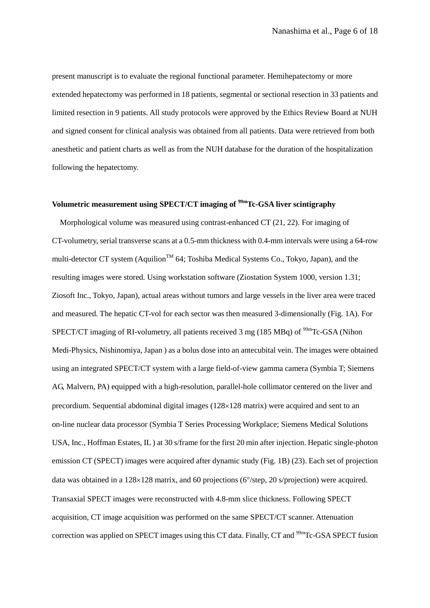present manuscript is to evaluate the regional functional parameter. Hemihepatectomy or more extended hepatectomy was performed in 18 patients, segmental or sectional resection in 33 patients and limited resection in 9 patients. All study protocols were approved by the Ethics Review Board at NUH and signed consent for clinical analysis was obtained from all patients. Data were retrieved from both anesthetic and patient charts as well as from the NUH database for the duration of the hospitalization following the hepatectomy.

# Volumetric measurement using SPECT/CT imaging of <sup>99m</sup>Tc-GSA liver scintigraphy

 Morphological volume was measured using contrast-enhanced CT (21, 22). For imaging of CT-volumetry, serial transverse scans at a 0.5-mm thickness with 0.4-mm intervals were using a 64-row multi-detector CT system (Aquilion<sup>TM</sup> 64; Toshiba Medical Systems Co., Tokyo, Japan), and the resulting images were stored. Using workstation software (Ziostation System 1000, version 1.31; Ziosoft Inc., Tokyo, Japan), actual areas without tumors and large vessels in the liver area were traced and measured. The hepatic CT-vol for each sector was then measured 3-dimensionally (Fig. 1A). For SPECT/CT imaging of RI-volumetry, all patients received 3 mg (185 MBq) of  $\frac{99 \text{m}}{2}$ Tc-GSA (Nihon Medi-Physics, Nishinomiya, Japan ) as a bolus dose into an antecubital vein. The images were obtained using an integrated SPECT/CT system with a large field-of-view gamma camera (Symbia T; Siemens AG, Malvern, PA) equipped with a high-resolution, parallel-hole collimator centered on the liver and precordium. Sequential abdominal digital images (128×128 matrix) were acquired and sent to an on-line nuclear data processor (Symbia T Series Processing Workplace; Siemens Medical Solutions USA, Inc., Hoffman Estates, IL ) at 30 s/frame for the first 20 min after injection. Hepatic single-photon emission CT (SPECT) images were acquired after dynamic study (Fig. 1B) (23). Each set of projection data was obtained in a 128×128 matrix, and 60 projections (6°/step, 20 s/projection) were acquired. Transaxial SPECT images were reconstructed with 4.8-mm slice thickness. Following SPECT acquisition, CT image acquisition was performed on the same SPECT/CT scanner. Attenuation correction was applied on SPECT images using this CT data. Finally, CT and <sup>99m</sup>Tc-GSA SPECT fusion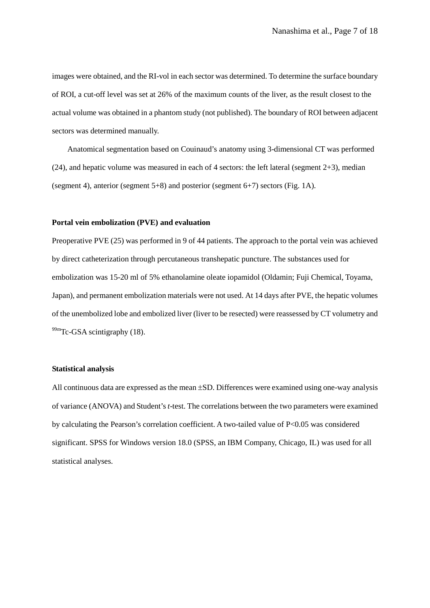images were obtained, and the RI-vol in each sector was determined. To determine the surface boundary of ROI, a cut-off level was set at 26% of the maximum counts of the liver, as the result closest to the actual volume was obtained in a phantom study (not published). The boundary of ROI between adjacent sectors was determined manually.

Anatomical segmentation based on Couinaud's anatomy using 3-dimensional CT was performed (24), and hepatic volume was measured in each of 4 sectors: the left lateral (segment 2+3), median (segment 4), anterior (segment 5+8) and posterior (segment 6+7) sectors (Fig. 1A).

## **Portal vein embolization (PVE) and evaluation**

Preoperative PVE (25) was performed in 9 of 44 patients. The approach to the portal vein was achieved by direct catheterization through percutaneous transhepatic puncture. The substances used for embolization was 15-20 ml of 5% ethanolamine oleate iopamidol (Oldamin; Fuji Chemical, Toyama, Japan), and permanent embolization materials were not used. At 14 days after PVE, the hepatic volumes of the unembolized lobe and embolized liver (liver to be resected) were reassessed by CT volumetry and  $^{99m}$ Tc-GSA scintigraphy (18).

#### **Statistical analysis**

All continuous data are expressed as the mean ±SD. Differences were examined using one-way analysis of variance (ANOVA) and Student's *t*-test. The correlations between the two parameters were examined by calculating the Pearson's correlation coefficient. A two-tailed value of  $P<0.05$  was considered significant. SPSS for Windows version 18.0 (SPSS, an IBM Company, Chicago, IL) was used for all statistical analyses.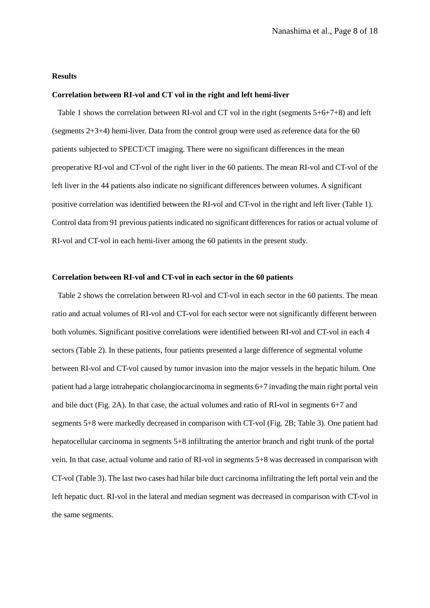#### **Results**

#### **Correlation between RI-vol and CT vol in the right and left hemi-liver**

 Table 1 shows the correlation between RI-vol and CT vol in the right (segments 5+6+7+8) and left (segments  $2+3+4$ ) hemi-liver. Data from the control group were used as reference data for the 60 patients subjected to SPECT/CT imaging. There were no significant differences in the mean preoperative RI-vol and CT-vol of the right liver in the 60 patients. The mean RI-vol and CT-vol of the left liver in the 44 patients also indicate no significant differences between volumes. A significant positive correlation was identified between the RI-vol and CT-vol in the right and left liver (Table 1). Control data from 91 previous patients indicated no significant differences for ratios or actual volume of RI-vol and CT-vol in each hemi-liver among the 60 patients in the present study.

#### **Correlation between RI-vol and CT-vol in each sector in the 60 patients**

 Table 2 shows the correlation between RI-vol and CT-vol in each sector in the 60 patients. The mean ratio and actual volumes of RI-vol and CT-vol for each sector were not significantly different between both volumes. Significant positive correlations were identified between RI-vol and CT-vol in each 4 sectors (Table 2). In these patients, four patients presented a large difference of segmental volume between RI-vol and CT-vol caused by tumor invasion into the major vessels in the hepatic hilum. One patient had a large intrahepatic cholangiocarcinoma in segments 6+7 invading the main right portal vein and bile duct (Fig. 2A). In that case, the actual volumes and ratio of RI-vol in segments 6+7 and segments 5+8 were markedly decreased in comparison with CT-vol (Fig. 2B; Table 3). One patient had hepatocellular carcinoma in segments 5+8 infiltrating the anterior branch and right trunk of the portal vein. In that case, actual volume and ratio of RI-vol in segments 5+8 was decreased in comparison with CT-vol (Table 3). The last two cases had hilar bile duct carcinoma infiltrating the left portal vein and the left hepatic duct. RI-vol in the lateral and median segment was decreased in comparison with CT-vol in the same segments.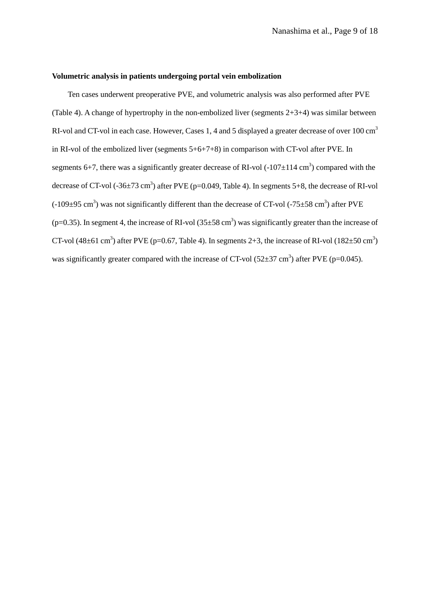# **Volumetric analysis in patients undergoing portal vein embolization**

Ten cases underwent preoperative PVE, and volumetric analysis was also performed after PVE (Table 4). A change of hypertrophy in the non-embolized liver (segments 2+3+4) was similar between RI-vol and CT-vol in each case. However, Cases 1, 4 and 5 displayed a greater decrease of over 100 cm<sup>3</sup> in RI-vol of the embolized liver (segments 5+6+7+8) in comparison with CT-vol after PVE. In segments 6+7, there was a significantly greater decrease of RI-vol  $(-107 \pm 114 \text{ cm}^3)$  compared with the decrease of CT-vol  $(-36\pm73 \text{ cm}^3)$  after PVE (p=0.049, Table 4). In segments 5+8, the decrease of RI-vol  $(-109\pm 95 \text{ cm}^3)$  was not significantly different than the decrease of CT-vol  $(-75\pm 58 \text{ cm}^3)$  after PVE ( $p=0.35$ ). In segment 4, the increase of RI-vol ( $35\pm58$  cm<sup>3</sup>) was significantly greater than the increase of CT-vol (48 $\pm$ 61 cm<sup>3</sup>) after PVE (p=0.67, Table 4). In segments 2+3, the increase of RI-vol (182 $\pm$ 50 cm<sup>3</sup>) was significantly greater compared with the increase of CT-vol  $(52\pm37 \text{ cm}^3)$  after PVE (p=0.045).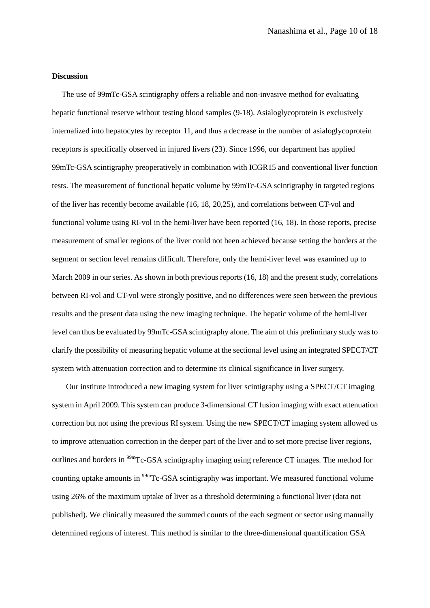#### **Discussion**

 The use of 99mTc-GSA scintigraphy offers a reliable and non-invasive method for evaluating hepatic functional reserve without testing blood samples (9-18). Asialoglycoprotein is exclusively internalized into hepatocytes by receptor 11, and thus a decrease in the number of asialoglycoprotein receptors is specifically observed in injured livers (23). Since 1996, our department has applied 99mTc-GSA scintigraphy preoperatively in combination with ICGR15 and conventional liver function tests. The measurement of functional hepatic volume by 99mTc-GSA scintigraphy in targeted regions of the liver has recently become available (16, 18, 20,25), and correlations between CT-vol and functional volume using RI-vol in the hemi-liver have been reported (16, 18). In those reports, precise measurement of smaller regions of the liver could not been achieved because setting the borders at the segment or section level remains difficult. Therefore, only the hemi-liver level was examined up to March 2009 in our series. As shown in both previous reports (16, 18) and the present study, correlations between RI-vol and CT-vol were strongly positive, and no differences were seen between the previous results and the present data using the new imaging technique. The hepatic volume of the hemi-liver level can thus be evaluated by 99mTc-GSA scintigraphy alone. The aim of this preliminary study was to clarify the possibility of measuring hepatic volume at the sectional level using an integrated SPECT/CT system with attenuation correction and to determine its clinical significance in liver surgery.

Our institute introduced a new imaging system for liver scintigraphy using a SPECT/CT imaging system in April 2009. This system can produce 3-dimensional CT fusion imaging with exact attenuation correction but not using the previous RI system. Using the new SPECT/CT imaging system allowed us to improve attenuation correction in the deeper part of the liver and to set more precise liver regions, outlines and borders in <sup>99m</sup>Tc-GSA scintigraphy imaging using reference CT images. The method for counting uptake amounts in <sup>99m</sup>Tc-GSA scintigraphy was important. We measured functional volume using 26% of the maximum uptake of liver as a threshold determining a functional liver (data not published). We clinically measured the summed counts of the each segment or sector using manually determined regions of interest. This method is similar to the three-dimensional quantification GSA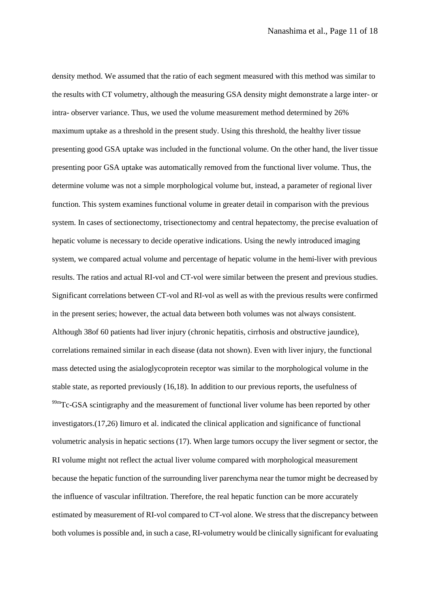density method. We assumed that the ratio of each segment measured with this method was similar to the results with CT volumetry, although the measuring GSA density might demonstrate a large inter- or intra- observer variance. Thus, we used the volume measurement method determined by 26% maximum uptake as a threshold in the present study. Using this threshold, the healthy liver tissue presenting good GSA uptake was included in the functional volume. On the other hand, the liver tissue presenting poor GSA uptake was automatically removed from the functional liver volume. Thus, the determine volume was not a simple morphological volume but, instead, a parameter of regional liver function. This system examines functional volume in greater detail in comparison with the previous system. In cases of sectionectomy, trisectionectomy and central hepatectomy, the precise evaluation of hepatic volume is necessary to decide operative indications. Using the newly introduced imaging system, we compared actual volume and percentage of hepatic volume in the hemi-liver with previous results. The ratios and actual RI-vol and CT-vol were similar between the present and previous studies. Significant correlations between CT-vol and RI-vol as well as with the previous results were confirmed in the present series; however, the actual data between both volumes was not always consistent. Although 38of 60 patients had liver injury (chronic hepatitis, cirrhosis and obstructive jaundice), correlations remained similar in each disease (data not shown). Even with liver injury, the functional mass detected using the asialoglycoprotein receptor was similar to the morphological volume in the stable state, as reported previously (16,18). In addition to our previous reports, the usefulness of  $99m$ Tc-GSA scintigraphy and the measurement of functional liver volume has been reported by other investigators.(17,26) Iimuro et al. indicated the clinical application and significance of functional volumetric analysis in hepatic sections (17). When large tumors occupy the liver segment or sector, the RI volume might not reflect the actual liver volume compared with morphological measurement because the hepatic function of the surrounding liver parenchyma near the tumor might be decreased by the influence of vascular infiltration. Therefore, the real hepatic function can be more accurately estimated by measurement of RI-vol compared to CT-vol alone. We stress that the discrepancy between both volumes is possible and, in such a case, RI-volumetry would be clinically significant for evaluating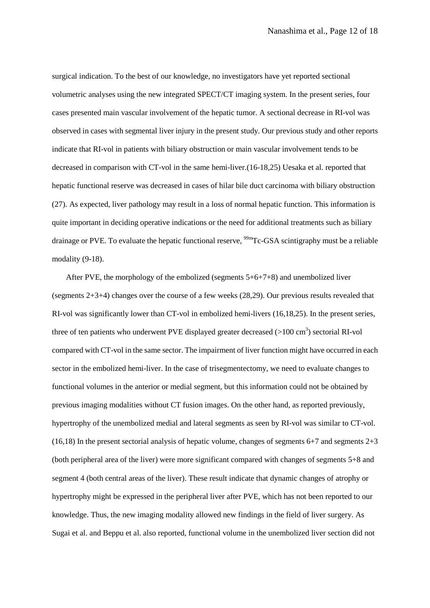surgical indication. To the best of our knowledge, no investigators have yet reported sectional volumetric analyses using the new integrated SPECT/CT imaging system. In the present series, four cases presented main vascular involvement of the hepatic tumor. A sectional decrease in RI-vol was observed in cases with segmental liver injury in the present study. Our previous study and other reports indicate that RI-vol in patients with biliary obstruction or main vascular involvement tends to be decreased in comparison with CT-vol in the same hemi-liver.(16-18,25) Uesaka et al. reported that hepatic functional reserve was decreased in cases of hilar bile duct carcinoma with biliary obstruction (27). As expected, liver pathology may result in a loss of normal hepatic function. This information is quite important in deciding operative indications or the need for additional treatments such as biliary drainage or PVE. To evaluate the hepatic functional reserve, <sup>99m</sup>Tc-GSA scintigraphy must be a reliable modality (9-18).

After PVE, the morphology of the embolized (segments 5+6+7+8) and unembolized liver (segments 2+3+4) changes over the course of a few weeks (28,29). Our previous results revealed that RI-vol was significantly lower than CT-vol in embolized hemi-livers (16,18,25). In the present series, three of ten patients who underwent PVE displayed greater decreased  $(>100 \text{ cm}^3)$  sectorial RI-vol compared with CT-vol in the same sector. The impairment of liver function might have occurred in each sector in the embolized hemi-liver. In the case of trisegmentectomy, we need to evaluate changes to functional volumes in the anterior or medial segment, but this information could not be obtained by previous imaging modalities without CT fusion images. On the other hand, as reported previously, hypertrophy of the unembolized medial and lateral segments as seen by RI-vol was similar to CT-vol. (16,18) In the present sectorial analysis of hepatic volume, changes of segments 6+7 and segments 2+3 (both peripheral area of the liver) were more significant compared with changes of segments 5+8 and segment 4 (both central areas of the liver). These result indicate that dynamic changes of atrophy or hypertrophy might be expressed in the peripheral liver after PVE, which has not been reported to our knowledge. Thus, the new imaging modality allowed new findings in the field of liver surgery. As Sugai et al. and Beppu et al. also reported, functional volume in the unembolized liver section did not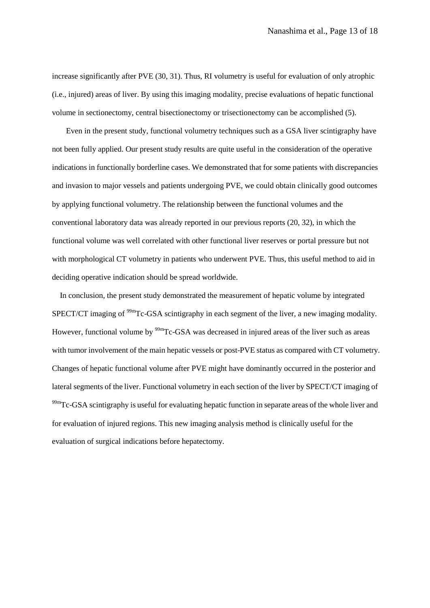increase significantly after PVE (30, 31). Thus, RI volumetry is useful for evaluation of only atrophic (i.e., injured) areas of liver. By using this imaging modality, precise evaluations of hepatic functional volume in sectionectomy, central bisectionectomy or trisectionectomy can be accomplished (5).

Even in the present study, functional volumetry techniques such as a GSA liver scintigraphy have not been fully applied. Our present study results are quite useful in the consideration of the operative indications in functionally borderline cases. We demonstrated that for some patients with discrepancies and invasion to major vessels and patients undergoing PVE, we could obtain clinically good outcomes by applying functional volumetry. The relationship between the functional volumes and the conventional laboratory data was already reported in our previous reports (20, 32), in which the functional volume was well correlated with other functional liver reserves or portal pressure but not with morphological CT volumetry in patients who underwent PVE. Thus, this useful method to aid in deciding operative indication should be spread worldwide.

 In conclusion, the present study demonstrated the measurement of hepatic volume by integrated SPECT/CT imaging of <sup>99m</sup>Tc-GSA scintigraphy in each segment of the liver, a new imaging modality. However, functional volume by <sup>99m</sup>Tc-GSA was decreased in injured areas of the liver such as areas with tumor involvement of the main hepatic vessels or post-PVE status as compared with CT volumetry. Changes of hepatic functional volume after PVE might have dominantly occurred in the posterior and lateral segments of the liver. Functional volumetry in each section of the liver by SPECT/CT imaging of  $99m$ Tc-GSA scintigraphy is useful for evaluating hepatic function in separate areas of the whole liver and for evaluation of injured regions. This new imaging analysis method is clinically useful for the evaluation of surgical indications before hepatectomy.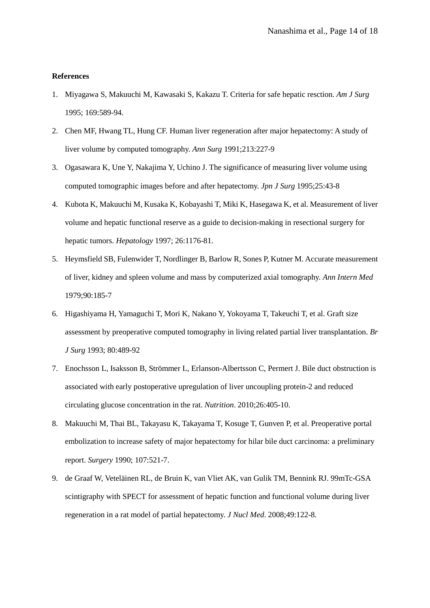## **References**

- 1. Miyagawa S, Makuuchi M, Kawasaki S, Kakazu T. Criteria for safe hepatic resction. *Am J Surg* 1995; 169:589-94.
- 2. Chen MF, Hwang TL, Hung CF. Human liver regeneration after major hepatectomy: A study of liver volume by computed tomography. *Ann Surg* 1991;213:227-9
- 3. Ogasawara K, Une Y, Nakajima Y, Uchino J. The significance of measuring liver volume using computed tomographic images before and after hepatectomy. *Jpn J Surg* 1995;25:43-8
- 4. Kubota K, Makuuchi M, Kusaka K, Kobayashi T, Miki K, Hasegawa K, et al. Measurement of liver volume and hepatic functional reserve as a guide to decision-making in resectional surgery for hepatic tumors. *Hepatology* 1997; 26:1176-81.
- 5. Heymsfield SB, Fulenwider T, Nordlinger B, Barlow R, Sones P, Kutner M. Accurate measurement of liver, kidney and spleen volume and mass by computerized axial tomography. *Ann Intern Med* 1979;90:185-7
- 6. Higashiyama H, Yamaguchi T, Mori K, Nakano Y, Yokoyama T, Takeuchi T, et al. Graft size assessment by preoperative computed tomography in living related partial liver transplantation. *Br J Surg* 1993; 80:489-92
- 7. Enochsson L, Isaksson B, Strömmer L, Erlanson-Albertsson C, Permert J. Bile duct obstruction is associated with early postoperative upregulation of liver uncoupling protein-2 and reduced circulating glucose concentration in the rat. *Nutrition*. 2010;26:405-10.
- 8. Makuuchi M, Thai BL, Takayasu K, Takayama T, Kosuge T, Gunven P, et al. Preoperative portal embolization to increase safety of major hepatectomy for hilar bile duct carcinoma: a preliminary report. *Surgery* 1990; 107:521-7.
- 9. de Graaf W, Veteläinen RL, de Bruin K, van Vliet AK, van Gulik TM, Bennink RJ. 99mTc-GSA scintigraphy with SPECT for assessment of hepatic function and functional volume during liver regeneration in a rat model of partial hepatectomy. *J Nucl Med*. 2008;49:122-8.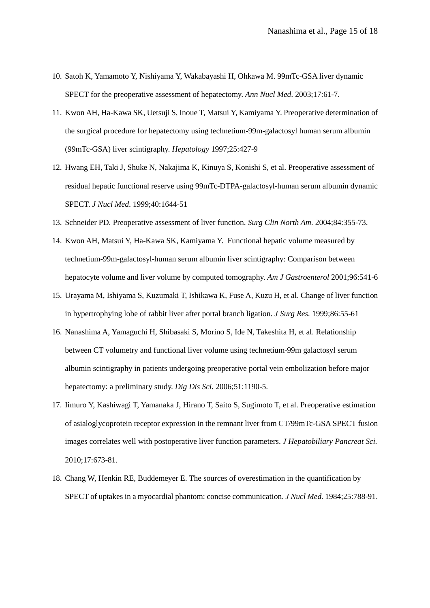- 10. Satoh K, Yamamoto Y, Nishiyama Y, Wakabayashi H, Ohkawa M. 99mTc-GSA liver dynamic SPECT for the preoperative assessment of hepatectomy. *Ann Nucl Med*. 2003;17:61-7.
- 11. Kwon AH, Ha-Kawa SK, Uetsuji S, Inoue T, Matsui Y, Kamiyama Y. Preoperative determination of the surgical procedure for hepatectomy using technetium-99m-galactosyl human serum albumin (99mTc-GSA) liver scintigraphy. *Hepatology* 1997;25:427-9
- 12. Hwang EH, Taki J, Shuke N, Nakajima K, Kinuya S, Konishi S, et al. Preoperative assessment of residual hepatic functional reserve using 99mTc-DTPA-galactosyl-human serum albumin dynamic SPECT. *J Nucl Med*. 1999;40:1644-51
- 13. Schneider PD. Preoperative assessment of liver function. *Surg Clin North Am*. 2004;84:355-73.
- 14. Kwon AH, Matsui Y, Ha-Kawa SK, Kamiyama Y. Functional hepatic volume measured by technetium-99m-galactosyl-human serum albumin liver scintigraphy: Comparison between hepatocyte volume and liver volume by computed tomography. *Am J Gastroenterol* 2001;96:541-6
- 15. Urayama M, Ishiyama S, Kuzumaki T, Ishikawa K, Fuse A, Kuzu H, et al. Change of liver function in hypertrophying lobe of rabbit liver after portal branch ligation. *J Surg Res.* 1999;86:55-61
- 16. Nanashima A, Yamaguchi H, Shibasaki S, Morino S, Ide N, Takeshita H, et al. Relationship between CT volumetry and functional liver volume using technetium-99m galactosyl serum albumin scintigraphy in patients undergoing preoperative portal vein embolization before major hepatectomy: a preliminary study. *Dig Dis Sci.* 2006;51:1190-5.
- 17. Iimuro Y, Kashiwagi T, Yamanaka J, Hirano T, Saito S, Sugimoto T, et al. Preoperative estimation of asialoglycoprotein receptor expression in the remnant liver from CT/99mTc-GSA SPECT fusion images correlates well with postoperative liver function parameters. *J Hepatobiliary Pancreat Sci.*  2010;17:673-81.
- 18. Chang W, Henkin RE, Buddemeyer E. The sources of overestimation in the quantification by SPECT of uptakes in a myocardial phantom: concise communication. *J Nucl Med.* 1984;25:788-91.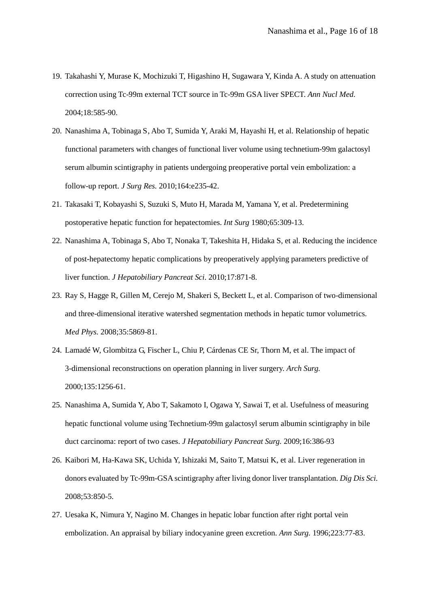- 19. Takahashi Y, Murase K, Mochizuki T, Higashino H, Sugawara Y, Kinda A. A study on attenuation correction using Tc-99m external TCT source in Tc-99m GSA liver SPECT. *Ann Nucl Med.* 2004;18:585-90.
- 20. Nanashima A, Tobinaga S, Abo T, Sumida Y, Araki M, Hayashi H, et al. Relationship of hepatic functional parameters with changes of functional liver volume using technetium-99m galactosyl serum albumin scintigraphy in patients undergoing preoperative portal vein embolization: a follow-up report. *J Surg Res.* 2010;164:e235-42.
- 21. Takasaki T, Kobayashi S, Suzuki S, Muto H, Marada M, Yamana Y, et al. Predetermining postoperative hepatic function for hepatectomies. *Int Surg* 1980;65:309-13.
- 22. Nanashima A, Tobinaga S, Abo T, Nonaka T, Takeshita H, Hidaka S, et al. Reducing the incidence of post-hepatectomy hepatic complications by preoperatively applying parameters predictive of liver function. *J Hepatobiliary Pancreat Sci.* 2010;17:871-8.
- 23. Ray S, Hagge R, Gillen M, Cerejo M, Shakeri S, Beckett L, et al. Comparison of two-dimensional and three-dimensional iterative watershed segmentation methods in hepatic tumor volumetrics. *Med Phys.* 2008;35:5869-81.
- 24. Lamadé W, Glombitza G, Fischer L, Chiu P, Cárdenas CE Sr, Thorn M, et al. The impact of 3-dimensional reconstructions on operation planning in liver surgery. *Arch Surg.*  2000;135:1256-61.
- 25. Nanashima A, Sumida Y, Abo T, Sakamoto I, Ogawa Y, Sawai T, et al. Usefulness of measuring hepatic functional volume using Technetium-99m galactosyl serum albumin scintigraphy in bile duct carcinoma: report of two cases. *J Hepatobiliary Pancreat Surg.* 2009;16:386-93
- 26. Kaibori M, Ha-Kawa SK, Uchida Y, Ishizaki M, Saito T, Matsui K, et al. Liver regeneration in donors evaluated by Tc-99m-GSA scintigraphy after living donor liver transplantation. *Dig Dis Sci.*  2008;53:850-5.
- 27. Uesaka K, Nimura Y, Nagino M. Changes in hepatic lobar function after right portal vein embolization. An appraisal by biliary indocyanine green excretion. *Ann Surg.* 1996;223:77-83.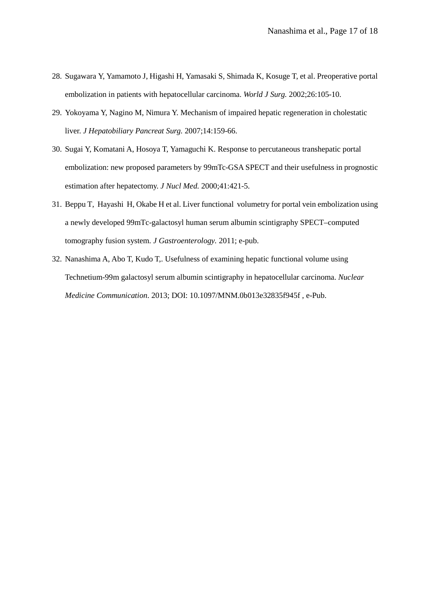- 28. Sugawara Y, Yamamoto J, Higashi H, Yamasaki S, Shimada K, Kosuge T, et al. Preoperative portal embolization in patients with hepatocellular carcinoma. *World J Surg.* 2002;26:105-10.
- 29. Yokoyama Y, Nagino M, Nimura Y. Mechanism of impaired hepatic regeneration in cholestatic liver. *J Hepatobiliary Pancreat Surg.* 2007;14:159-66.
- 30. Sugai Y, Komatani A, Hosoya T, Yamaguchi K. Response to percutaneous transhepatic portal embolization: new proposed parameters by 99mTc-GSA SPECT and their usefulness in prognostic estimation after hepatectomy. *J Nucl Med.* 2000;41:421-5.
- 31. Beppu T, Hayashi H, Okabe H et al. Liver functional volumetry for portal vein embolization using a newly developed 99mTc-galactosyl human serum albumin scintigraphy SPECT–computed tomography fusion system. *J Gastroenterology.* 2011; e-pub.
- 32. Nanashima A, Abo T, Kudo T,. Usefulness of examining hepatic functional volume using Technetium-99m galactosyl serum albumin scintigraphy in hepatocellular carcinoma. *Nuclear Medicine Communication*. 2013; DOI: 10.1097/MNM.0b013e32835f945f , e-Pub.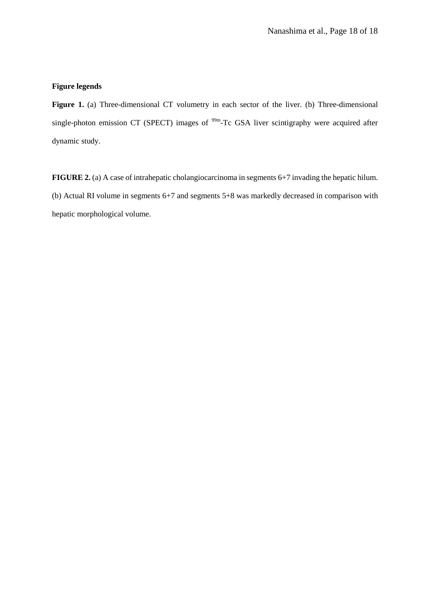# **Figure legends**

**Figure 1.** (a) Three-dimensional CT volumetry in each sector of the liver. (b) Three-dimensional single-photon emission CT (SPECT) images of  $99m$ -Tc GSA liver scintigraphy were acquired after dynamic study.

**FIGURE 2.** (a) A case of intrahepatic cholangiocarcinoma in segments 6+7 invading the hepatic hilum. (b) Actual RI volume in segments 6+7 and segments 5+8 was markedly decreased in comparison with hepatic morphological volume.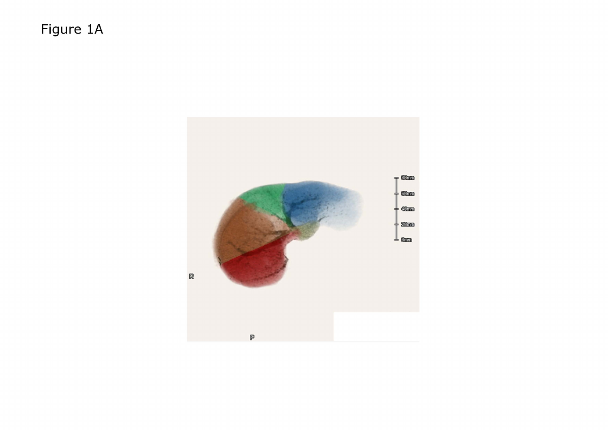Figure 1A

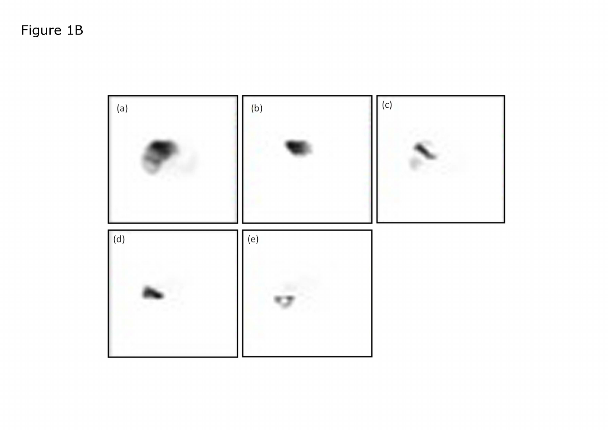# Figure 1B

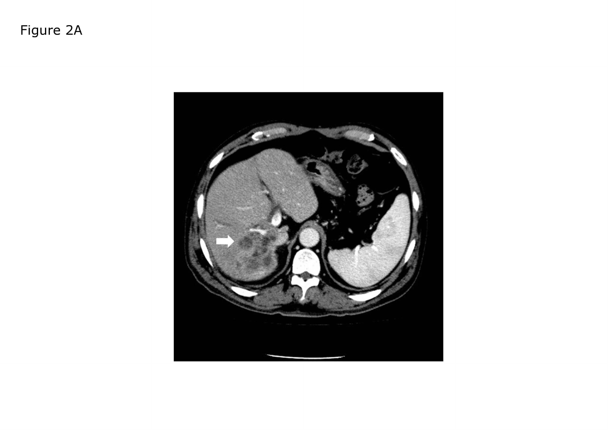Figure 2A

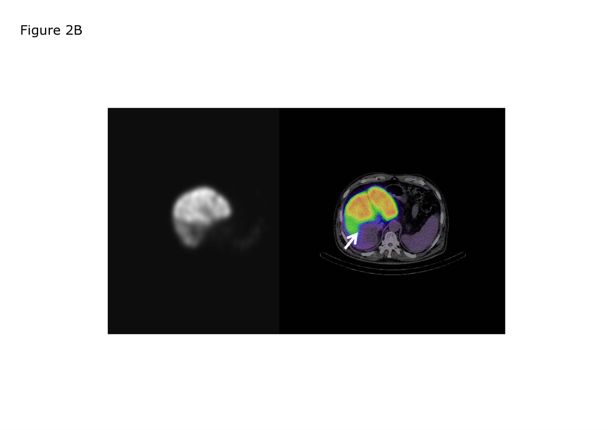Figure 2B

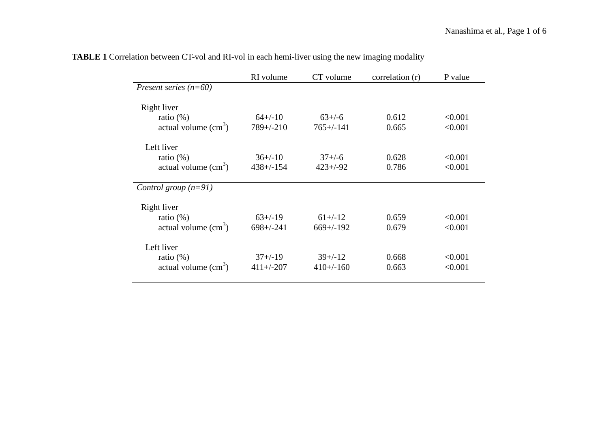|                         | RI volume      | CT volume      | correlation (r) | P value |
|-------------------------|----------------|----------------|-----------------|---------|
| Present series $(n=60)$ |                |                |                 |         |
|                         |                |                |                 |         |
| Right liver             |                |                |                 |         |
| ratio $(\%)$            | $64+/-10$      | $63+/-6$       | 0.612           | < 0.001 |
| actual volume $(cm3)$   | $789 + (-210)$ | $765 + (-141)$ | 0.665           | < 0.001 |
| Left liver              |                |                |                 |         |
| ratio $(\%)$            | $36+/-10$      | $37 + (-6)$    | 0.628           | < 0.001 |
| actual volume $(cm3)$   | $438 + (-154)$ | $423 + (-92)$  | 0.786           | < 0.001 |
|                         |                |                |                 |         |
| Control group $(n=91)$  |                |                |                 |         |
| Right liver             |                |                |                 |         |
| ratio $(\%)$            | $63+/-19$      | $61 + (-12)$   | 0.659           | < 0.001 |
| actual volume $(cm3)$   | $698 + (-241)$ | $669+/-192$    | 0.679           | < 0.001 |
|                         |                |                |                 |         |
| Left liver              |                |                |                 |         |
| ratio $(\%)$            | $37+/-19$      | $39+/-12$      | 0.668           | < 0.001 |
| actual volume $(cm3)$   | $411 + (-207)$ | $410+/-160$    | 0.663           | < 0.001 |
|                         |                |                |                 |         |

**TABLE 1** Correlation between CT-vol and RI-vol in each hemi-liver using the new imaging modality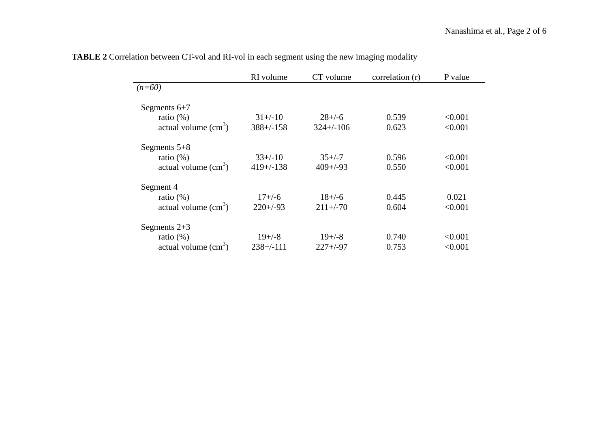|                               | RI volume      | CT volume     | correlation (r) | P value |
|-------------------------------|----------------|---------------|-----------------|---------|
| $(n=60)$                      |                |               |                 |         |
|                               |                |               |                 |         |
| Segments $6+7$                |                |               |                 |         |
| ratio $(\%)$                  | $31+/-10$      | $28 + (-6)$   | 0.539           | < 0.001 |
| actual volume $\text{cm}^3$ ) | $388+/158$     | $324+/-106$   | 0.623           | < 0.001 |
|                               |                |               |                 |         |
| Segments $5+8$                |                |               |                 |         |
| ratio $(\%)$                  | $33+/-10$      | $35+/-7$      | 0.596           | < 0.001 |
| actual volume $(cm3)$         | $419 + (-138)$ | $409 + (-93)$ | 0.550           | < 0.001 |
|                               |                |               |                 |         |
| Segment 4                     |                |               |                 |         |
| ratio $(\%)$                  | $17 + (-6)$    | $18 + (-6)$   | 0.445           | 0.021   |
|                               | $220+/-93$     |               |                 |         |
| actual volume $\text{cm}^3$ ) |                | $211 + (-70)$ | 0.604           | < 0.001 |
|                               |                |               |                 |         |
| Segments $2+3$                |                |               |                 |         |
| ratio $(\%)$                  | $19 + (-8)$    | $19 + (-8)$   | 0.740           | < 0.001 |
| actual volume $(cm3)$         | $238 + (-111)$ | $227 + (-97)$ | 0.753           | < 0.001 |

**TABLE 2** Correlation between CT-vol and RI-vol in each segment using the new imaging modality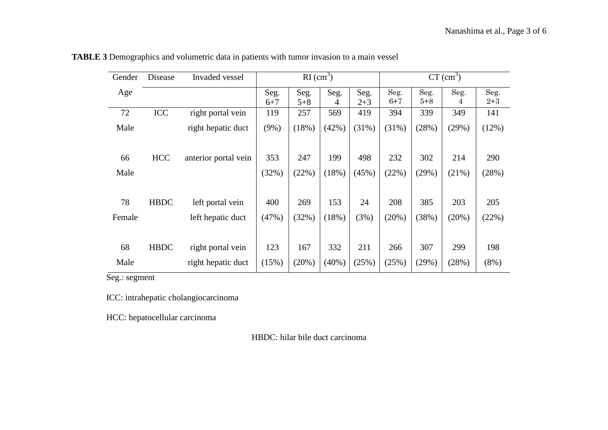| Gender | Disease     | Invaded vessel       |         | $RI$ (cm <sup>3</sup> ) |          |         |         | $CT$ (cm <sup>3</sup> ) |       |         |  |
|--------|-------------|----------------------|---------|-------------------------|----------|---------|---------|-------------------------|-------|---------|--|
| Age    |             |                      | Seg.    | Seg.                    | Seg.     | Seg.    | Seg.    | Seg.                    | Seg.  | Seg.    |  |
|        |             |                      | $6 + 7$ | $5 + 8$                 | 4        | $2 + 3$ | $6 + 7$ | $5 + 8$                 | 4     | $2 + 3$ |  |
| 72     | ICC         | right portal vein    | 119     | 257                     | 569      | 419     | 394     | 339                     | 349   | 141     |  |
| Male   |             | right hepatic duct   | (9%)    | (18%)                   | (42%)    | (31%)   | (31%)   | (28%)                   | (29%) | (12%)   |  |
|        |             |                      |         |                         |          |         |         |                         |       |         |  |
| 66     | <b>HCC</b>  | anterior portal vein | 353     | 247                     | 199      | 498     | 232     | 302                     | 214   | 290     |  |
| Male   |             |                      | (32%)   | (22%)                   | (18%)    | (45%)   | (22%)   | (29%)                   | (21%) | (28%)   |  |
|        |             |                      |         |                         |          |         |         |                         |       |         |  |
| 78     | <b>HBDC</b> | left portal vein     | 400     | 269                     | 153      | 24      | 208     | 385                     | 203   | 205     |  |
| Female |             | left hepatic duct    | (47%)   | (32%)                   | (18%)    | (3%)    | (20%)   | (38%)                   | (20%) | (22%)   |  |
|        |             |                      |         |                         |          |         |         |                         |       |         |  |
| 68     | <b>HBDC</b> | right portal vein    | 123     | 167                     | 332      | 211     | 266     | 307                     | 299   | 198     |  |
| Male   |             | right hepatic duct   | (15%)   | (20%)                   | $(40\%)$ | (25%)   | (25%)   | (29%)                   | (28%) | $(8\%)$ |  |

**TABLE 3** Demographics and volumetric data in patients with tumor invasion to a main vessel

Seg.: segment

ICC: intrahepatic cholangiocarcinoma

HCC: hepatocellular carcinoma

HBDC: hilar bile duct carcinoma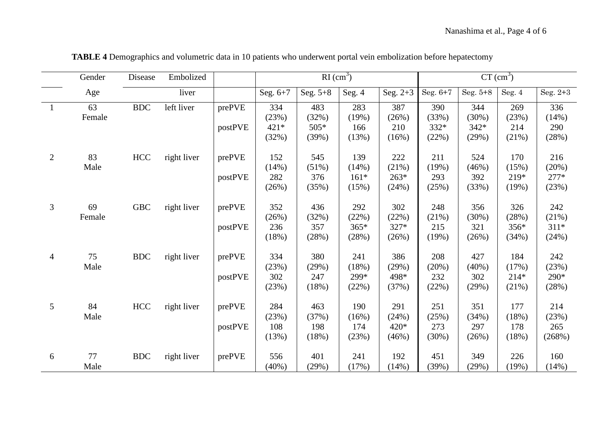|                | Gender       | Disease              | Embolized   |                   | $RI$ (cm <sup>3</sup> )       |                               |                                 |                                 | $CT$ (cm <sup>3</sup> )       |                               |                                 |                                 |
|----------------|--------------|----------------------|-------------|-------------------|-------------------------------|-------------------------------|---------------------------------|---------------------------------|-------------------------------|-------------------------------|---------------------------------|---------------------------------|
|                | Age          |                      | liver       |                   | Seg. 6+7                      | Seg. $5+8$                    | Seg. 4                          | Seg. $2+3$                      | Seg. 6+7                      | Seg. 5+8                      | Seg. $4\,$                      | Seg. 2+3                        |
| $\overline{1}$ | 63<br>Female | $\operatorname{BDC}$ | left liver  | prePVE<br>postPVE | 334<br>(23%)<br>421*<br>(32%) | 483<br>(32%)<br>505*<br>(39%) | 283<br>(19%)<br>166<br>(13%)    | 387<br>(26%)<br>210<br>(16%)    | 390<br>(33%)<br>332*<br>(22%) | 344<br>(30%)<br>342*<br>(29%) | 269<br>(23%)<br>214<br>(21%)    | 336<br>(14%)<br>290<br>(28%)    |
| $\overline{2}$ | 83<br>Male   | HCC                  | right liver | prePVE<br>postPVE | 152<br>(14%)<br>282<br>(26%)  | 545<br>(51%)<br>376<br>(35%)  | 139<br>(14%)<br>$161*$<br>(15%) | 222<br>(21%)<br>$263*$<br>(24%) | 211<br>(19%)<br>293<br>(25%)  | 524<br>(46%)<br>392<br>(33%)  | 170<br>(15%)<br>219*<br>(19%)   | 216<br>(20%)<br>$277*$<br>(23%) |
| 3              | 69<br>Female | <b>GBC</b>           | right liver | prePVE<br>postPVE | 352<br>(26%)<br>236<br>(18%)  | 436<br>(32%)<br>357<br>(28%)  | 292<br>(22%)<br>$365*$<br>(28%) | 302<br>(22%)<br>327*<br>(26%)   | 248<br>(21%)<br>215<br>(19%)  | 356<br>(30%)<br>321<br>(26%)  | 326<br>(28%)<br>356*<br>(34%)   | 242<br>(21%)<br>$311*$<br>(24%) |
| $\overline{4}$ | 75<br>Male   | <b>BDC</b>           | right liver | prePVE<br>postPVE | 334<br>(23%)<br>302<br>(23%)  | 380<br>(29%)<br>247<br>(18%)  | 241<br>(18%)<br>299*<br>(22%)   | 386<br>(29%)<br>498*<br>(37%)   | 208<br>(20%)<br>232<br>(22%)  | 427<br>(40%)<br>302<br>(29%)  | 184<br>(17%)<br>$214*$<br>(21%) | 242<br>(23%)<br>290*<br>(28%)   |
| 5              | 84<br>Male   | HCC                  | right liver | prePVE<br>postPVE | 284<br>(23%)<br>108<br>(13%)  | 463<br>(37%)<br>198<br>(18%)  | 190<br>(16%)<br>174<br>(23%)    | 291<br>(24%)<br>420*<br>(46%)   | 251<br>(25%)<br>273<br>(30%)  | 351<br>(34%)<br>297<br>(26%)  | 177<br>(18%)<br>178<br>(18%)    | 214<br>(23%)<br>265<br>(268%)   |
| 6              | 77<br>Male   | <b>BDC</b>           | right liver | prePVE            | 556<br>$(40\%)$               | 401<br>(29%)                  | 241<br>(17%)                    | 192<br>(14%)                    | 451<br>(39%)                  | 349<br>(29%)                  | 226<br>(19%)                    | 160<br>(14%)                    |

**TABLE 4** Demographics and volumetric data in 10 patients who underwent portal vein embolization before hepatectomy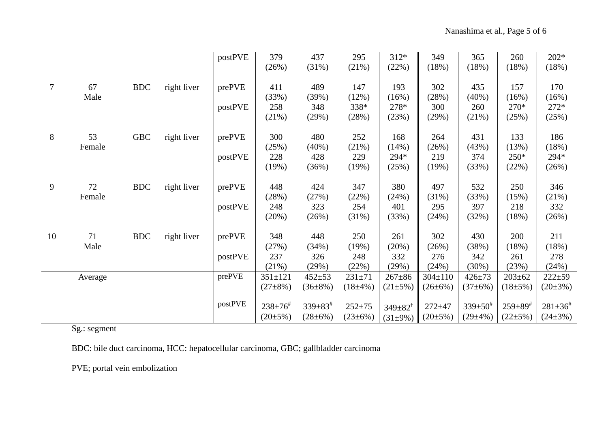|                |         |            |             | postPVE | 379                     | 437                       | 295          | $312*$                 | 349           | 365                     | 260                       | $202*$                    |
|----------------|---------|------------|-------------|---------|-------------------------|---------------------------|--------------|------------------------|---------------|-------------------------|---------------------------|---------------------------|
|                |         |            |             |         | (26%)                   | (31%)                     | (21%)        | (22%)                  | (18%)         | (18%)                   | (18%)                     | (18%)                     |
|                |         |            |             |         |                         |                           |              |                        |               |                         |                           |                           |
| $\overline{7}$ | 67      | <b>BDC</b> | right liver | prePVE  | 411                     | 489                       | 147          | 193                    | 302           | 435                     | 157                       | 170                       |
|                | Male    |            |             |         | (33%)                   | (39%)                     | (12%)        | (16%)                  | (28%)         | (40%)                   | (16%)                     | (16%)                     |
|                |         |            |             | postPVE | 258                     | 348                       | 338*         | 278*                   | 300           | 260                     | 270*                      | $272*$                    |
|                |         |            |             |         | (21%)                   | (29%)                     | (28%)        | (23%)                  | (29%)         | (21%)                   | (25%)                     | (25%)                     |
|                |         |            |             |         |                         |                           |              |                        |               |                         |                           |                           |
| 8              | 53      | <b>GBC</b> | right liver | prePVE  | 300                     | 480                       | 252          | 168                    | 264           | 431                     | 133                       | 186                       |
|                | Female  |            |             |         | (25%)                   | $(40\%)$                  | (21%)        | (14%)                  | (26%)         | (43%)                   | (13%)                     | (18%)                     |
|                |         |            |             | postPVE | 228                     | 428                       | 229          | 294*                   | 219           | 374                     | 250*                      | 294*                      |
|                |         |            |             |         | (19%)                   | (36%)                     | (19%)        | (25%)                  | (19%)         | (33%)                   | (22%)                     | (26%)                     |
| 9              | 72      | <b>BDC</b> | right liver | prePVE  | 448                     | 424                       | 347          | 380                    | 497           | 532                     | 250                       | 346                       |
|                | Female  |            |             |         | (28%)                   | (27%)                     | (22%)        | (24%)                  | (31%)         | (33%)                   | (15%)                     | (21%)                     |
|                |         |            |             | postPVE | 248                     | 323                       | 254          | 401                    | 295           | 397                     | 218                       | 332                       |
|                |         |            |             |         | (20%)                   | (26%)                     | (31%)        | (33%)                  | (24%)         | (32%)                   | (18%)                     | (26%)                     |
|                |         |            |             |         |                         |                           |              |                        |               |                         |                           |                           |
| 10             | 71      | <b>BDC</b> | right liver | prePVE  | 348                     | 448                       | 250          | 261                    | 302           | 430                     | 200                       | 211                       |
|                | Male    |            |             |         | (27%)                   | (34%)                     | (19%)        | (20%)                  | (26%)         | (38%)                   | (18%)                     | (18%)                     |
|                |         |            |             | postPVE | 237                     | 326                       | 248          | 332                    | 276           | 342                     | 261                       | 278                       |
|                |         |            |             |         | (21%)                   | (29%)                     | (22%)        | (29%)                  | (24%)         | (30%)                   | (23%)                     | (24%)                     |
|                | Average |            |             | prePVE  | $351 \pm 121$           | $452 + 53$                | $231 + 71$   | $267 + 86$             | $304 \pm 110$ | $426 + 73$              | $203 \pm 62$              | $222 + 59$                |
|                |         |            |             |         | $(27\pm8\%)$            | $(36\pm8\%)$              | $(18\pm4\%)$ | $(21\pm5\%)$           | $(26\pm6\%)$  | $(37\pm6\%)$            | $(18\pm5\%)$              | $(20\pm3\%)$              |
|                |         |            |             |         |                         |                           |              |                        |               |                         |                           |                           |
|                |         |            |             | postPVE | $238 \pm 76^{\text{*}}$ | $339 \pm 83$ <sup>#</sup> | $252 + 75$   | $349 \pm 82^{\dagger}$ | $272 + 47$    | $339 \pm 50^{\text{*}}$ | $259 \pm 89$ <sup>#</sup> | $281 \pm 36$ <sup>#</sup> |
|                |         |            |             |         | $(20\pm5\%)$            | $(28 \pm 6\%)$            | $(23\pm6\%)$ | $(31\pm9\%)$           | $(20\pm5\%)$  | $(29\pm4\%)$            | $(22\pm 5\%)$             | $(24\pm3\%)$              |

Sg.: segment

BDC: bile duct carcinoma, HCC: hepatocellular carcinoma, GBC; gallbladder carcinoma

PVE; portal vein embolization